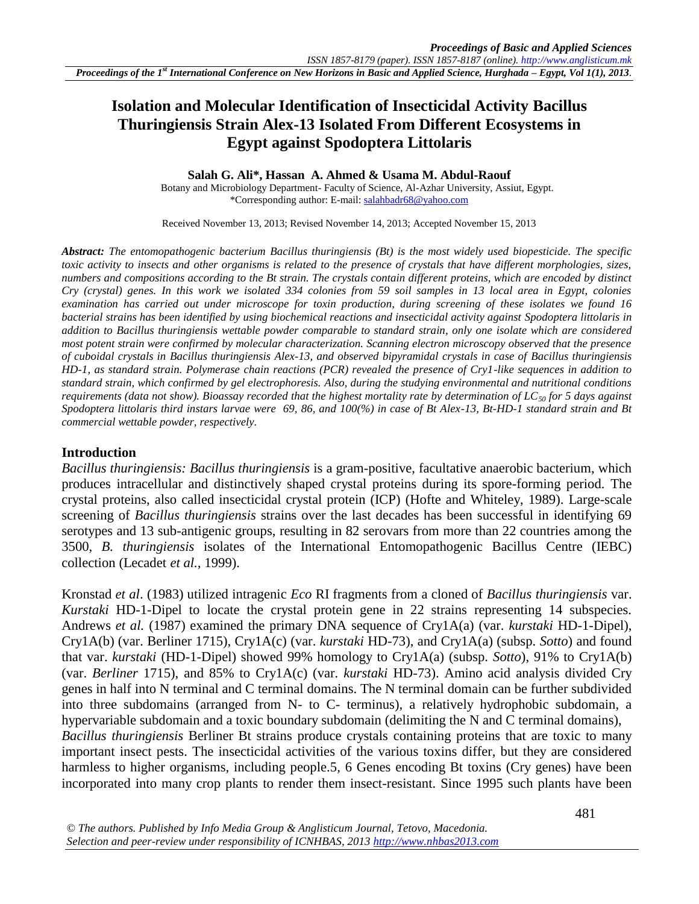# **Isolation and Molecular Identification of Insecticidal Activity Bacillus Thuringiensis Strain Alex-13 Isolated From Different Ecosystems in Egypt against Spodoptera Littolaris**

#### **Salah G. Ali\*, Hassan A. Ahmed & Usama M. Abdul-Raouf**

Botany and Microbiology Department- Faculty of Science, Al-Azhar University, Assiut, Egypt. \*Corresponding author: E-mail: [salahbadr68@yahoo.com](mailto:salahbadr68@yahoo.com)

Received November 13, 2013; Revised November 14, 2013; Accepted November 15, 2013

*Abstract: The entomopathogenic bacterium Bacillus thuringiensis (Bt) is the most widely used biopesticide. The specific toxic activity to insects and other organisms is related to the presence of crystals that have different morphologies, sizes, numbers and compositions according to the Bt strain. The crystals contain different proteins, which are encoded by distinct Cry (crystal) genes. In this work we isolated 334 colonies from 59 soil samples in 13 local area in Egypt, colonies examination has carried out under microscope for toxin production, during screening of these isolates we found 16 bacterial strains has been identified by using biochemical reactions and insecticidal activity against Spodoptera littolaris in addition to Bacillus thuringiensis wettable powder comparable to standard strain, only one isolate which are considered most potent strain were confirmed by molecular characterization. Scanning electron microscopy observed that the presence of cuboidal crystals in Bacillus thuringiensis Alex-13, and observed bipyramidal crystals in case of Bacillus thuringiensis HD-1, as standard strain. Polymerase chain reactions (PCR) revealed the presence of Cry1-like sequences in addition to standard strain, which confirmed by gel electrophoresis. Also, during the studying environmental and nutritional conditions requirements (data not show). Bioassay recorded that the highest mortality rate by determination of LC<sup>50</sup> for 5 days against Spodoptera littolaris third instars larvae were 69, 86, and 100(%) in case of Bt Alex-13, Bt-HD-1 standard strain and Bt commercial wettable powder, respectively.* 

#### **Introduction**

*Bacillus thuringiensis: Bacillus thuringiensis* is a gram-positive, facultative anaerobic bacterium, which produces intracellular and distinctively shaped crystal proteins during its spore-forming period. The crystal proteins, also called insecticidal crystal protein (ICP) (Hofte and Whiteley, 1989). Large-scale screening of *Bacillus thuringiensis* strains over the last decades has been successful in identifying 69 serotypes and 13 sub-antigenic groups, resulting in 82 serovars from more than 22 countries among the 3500, *B. thuringiensis* isolates of the International Entomopathogenic Bacillus Centre (IEBC) collection (Lecadet *et al.,* 1999).

Kronstad *et al*. (1983) utilized intragenic *Eco* RI fragments from a cloned of *Bacillus thuringiensis* var. *Kurstaki* HD-1-Dipel to locate the crystal protein gene in 22 strains representing 14 subspecies. Andrews *et al.* (1987) examined the primary DNA sequence of Cry1A(a) (var. *kurstaki* HD-1-Dipel), Cry1A(b) (var. Berliner 1715), Cry1A(c) (var. *kurstaki* HD-73), and Cry1A(a) (subsp. *Sotto*) and found that var. *kurstaki* (HD-1-Dipel) showed 99% homology to Cry1A(a) (subsp. *Sotto*), 91% to Cry1A(b) (var. *Berliner* 1715), and 85% to Cry1A(c) (var. *kurstaki* HD-73). Amino acid analysis divided Cry genes in half into N terminal and C terminal domains. The N terminal domain can be further subdivided into three subdomains (arranged from N- to C- terminus), a relatively hydrophobic subdomain, a hypervariable subdomain and a toxic boundary subdomain (delimiting the N and C terminal domains), *Bacillus thuringiensis* Berliner Bt strains produce crystals containing proteins that are toxic to many important insect pests. The insecticidal activities of the various toxins differ, but they are considered harmless to higher organisms, including people.5*,* 6 Genes encoding Bt toxins (Cry genes) have been incorporated into many crop plants to render them insect-resistant. Since 1995 such plants have been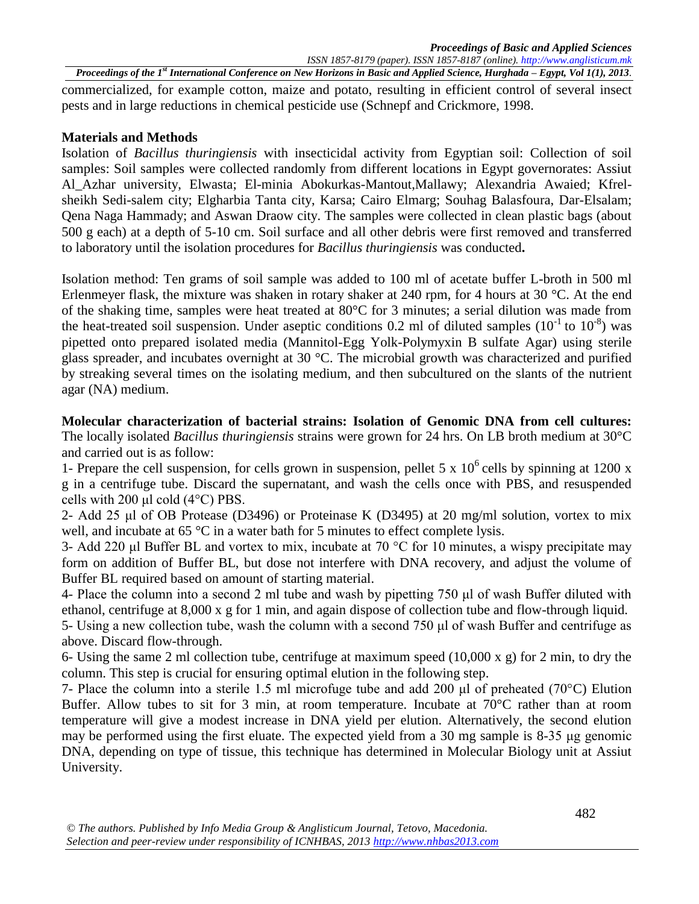commercialized, for example cotton, maize and potato, resulting in efficient control of several insect pests and in large reductions in chemical pesticide use (Schnepf and Crickmore, 1998.

#### **Materials and Methods**

Isolation of *Bacillus thuringiensis* with insecticidal activity from Egyptian soil: Collection of soil samples: Soil samples were collected randomly from different locations in Egypt governorates: Assiut Al\_Azhar university, Elwasta; El-minia Abokurkas-Mantout,Mallawy; Alexandria Awaied; Kfrelsheikh Sedi-salem city; Elgharbia Tanta city, Karsa; Cairo Elmarg; Souhag Balasfoura, Dar-Elsalam; Qena Naga Hammady; and Aswan Draow city. The samples were collected in clean plastic bags (about 500 g each) at a depth of 5-10 cm. Soil surface and all other debris were first removed and transferred to laboratory until the isolation procedures for *Bacillus thuringiensis* was conducted**.**

Isolation method: Ten grams of soil sample was added to 100 ml of acetate buffer L-broth in 500 ml Erlenmeyer flask, the mixture was shaken in rotary shaker at 240 rpm, for 4 hours at 30 °C. At the end of the shaking time, samples were heat treated at 80°C for 3 minutes; a serial dilution was made from the heat-treated soil suspension. Under aseptic conditions 0.2 ml of diluted samples  $(10^{-1}$  to  $10^{-8})$  was pipetted onto prepared isolated media (Mannitol-Egg Yolk-Polymyxin B sulfate Agar) using sterile glass spreader, and incubates overnight at 30 °C. The microbial growth was characterized and purified by streaking several times on the isolating medium, and then subcultured on the slants of the nutrient agar (NA) medium.

**Molecular characterization of bacterial strains: Isolation of Genomic DNA from cell cultures:**  The locally isolated *Bacillus thuringiensis* strains were grown for 24 hrs. On LB broth medium at 30°C and carried out is as follow:

1- Prepare the cell suspension, for cells grown in suspension, pellet 5 x  $10^6$  cells by spinning at 1200 x g in a centrifuge tube. Discard the supernatant, and wash the cells once with PBS, and resuspended cells with 200 μl cold (4°C) PBS.

2- Add 25 μl of OB Protease (D3496) or Proteinase K (D3495) at 20 mg/ml solution, vortex to mix well, and incubate at 65 °C in a water bath for 5 minutes to effect complete lysis.

3- Add 220 μl Buffer BL and vortex to mix, incubate at 70 °C for 10 minutes, a wispy precipitate may form on addition of Buffer BL, but dose not interfere with DNA recovery, and adjust the volume of Buffer BL required based on amount of starting material.

4- Place the column into a second 2 ml tube and wash by pipetting 750 μl of wash Buffer diluted with ethanol, centrifuge at 8,000 x g for 1 min, and again dispose of collection tube and flow-through liquid.

5- Using a new collection tube, wash the column with a second 750 μl of wash Buffer and centrifuge as above. Discard flow-through.

6- Using the same 2 ml collection tube, centrifuge at maximum speed  $(10,000 \times g)$  for 2 min, to dry the column. This step is crucial for ensuring optimal elution in the following step.

7- Place the column into a sterile 1.5 ml microfuge tube and add 200 μl of preheated (70°C) Elution Buffer. Allow tubes to sit for 3 min, at room temperature. Incubate at 70°C rather than at room temperature will give a modest increase in DNA yield per elution. Alternatively, the second elution may be performed using the first eluate. The expected yield from a 30 mg sample is 8-35 μg genomic DNA, depending on type of tissue, this technique has determined in Molecular Biology unit at Assiut University.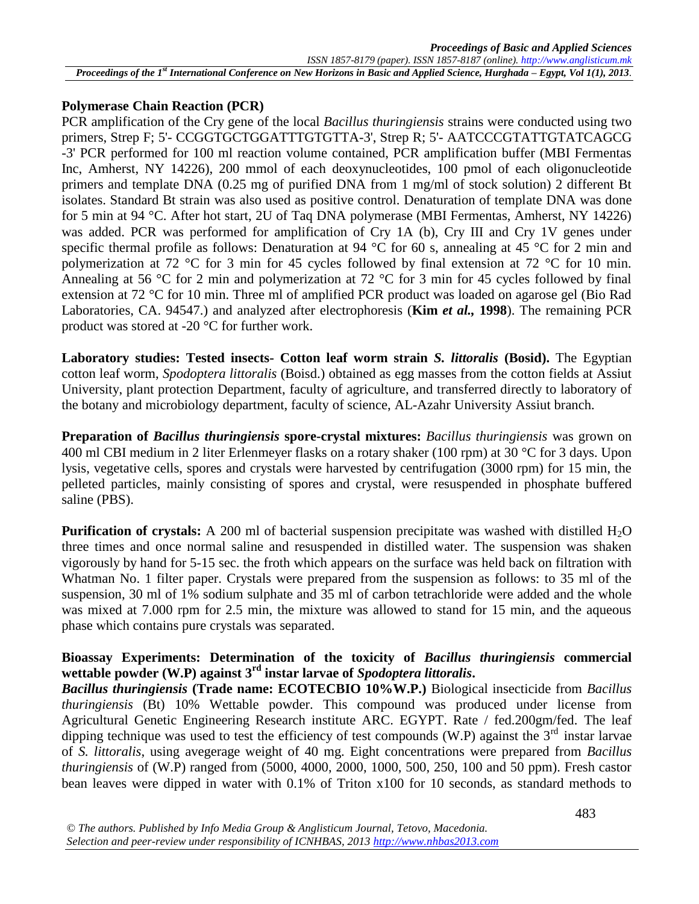### **Polymerase Chain Reaction (PCR)**

PCR amplification of the Cry gene of the local *Bacillus thuringiensis* strains were conducted using two primers, Strep F; 5'- CCGGTGCTGGATTTGTGTTA-3', Strep R; 5'- AATCCCGTATTGTATCAGCG -3' PCR performed for 100 ml reaction volume contained, PCR amplification buffer (MBI Fermentas Inc, Amherst, NY 14226), 200 mmol of each deoxynucleotides, 100 pmol of each oligonucleotide primers and template DNA (0.25 mg of purified DNA from 1 mg/ml of stock solution) 2 different Bt isolates. Standard Bt strain was also used as positive control. Denaturation of template DNA was done for 5 min at 94 °C. After hot start, 2U of Taq DNA polymerase (MBI Fermentas, Amherst, NY 14226) was added. PCR was performed for amplification of Cry 1A (b), Cry III and Cry 1V genes under specific thermal profile as follows: Denaturation at 94 °C for 60 s, annealing at 45 °C for 2 min and polymerization at 72 °C for 3 min for 45 cycles followed by final extension at 72 °C for 10 min. Annealing at 56 °C for 2 min and polymerization at 72 °C for 3 min for 45 cycles followed by final extension at 72 °C for 10 min. Three ml of amplified PCR product was loaded on agarose gel (Bio Rad Laboratories, CA. 94547.) and analyzed after electrophoresis (**Kim** *et al.,* **1998**). The remaining PCR product was stored at -20 °C for further work.

**Laboratory studies: Tested insects- Cotton leaf worm strain** *S. littoralis* **(Bosid).** The Egyptian cotton leaf worm, *Spodoptera littoralis* (Boisd.) obtained as egg masses from the cotton fields at Assiut University, plant protection Department, faculty of agriculture, and transferred directly to laboratory of the botany and microbiology department, faculty of science, AL-Azahr University Assiut branch.

**Preparation of** *Bacillus thuringiensis* **spore-crystal mixtures:** *Bacillus thuringiensis* was grown on 400 ml CBI medium in 2 liter Erlenmeyer flasks on a rotary shaker (100 rpm) at 30 °C for 3 days. Upon lysis, vegetative cells, spores and crystals were harvested by centrifugation (3000 rpm) for 15 min, the pelleted particles, mainly consisting of spores and crystal, were resuspended in phosphate buffered saline (PBS).

**Purification of crystals:** A 200 ml of bacterial suspension precipitate was washed with distilled H<sub>2</sub>O three times and once normal saline and resuspended in distilled water. The suspension was shaken vigorously by hand for 5-15 sec. the froth which appears on the surface was held back on filtration with Whatman No. 1 filter paper. Crystals were prepared from the suspension as follows: to 35 ml of the suspension, 30 ml of 1% sodium sulphate and 35 ml of carbon tetrachloride were added and the whole was mixed at 7.000 rpm for 2.5 min, the mixture was allowed to stand for 15 min, and the aqueous phase which contains pure crystals was separated.

## **Bioassay Experiments: Determination of the toxicity of** *Bacillus thuringiensis* **commercial wettable powder (W.P) against 3rd instar larvae of** *Spodoptera littoralis***.**

*Bacillus thuringiensis* **(Trade name: ECOTECBIO 10%W.P.)** Biological insecticide from *Bacillus thuringiensis* (Bt) 10% Wettable powder. This compound was produced under license from Agricultural Genetic Engineering Research institute ARC. EGYPT. Rate / fed.200gm/fed. The leaf dipping technique was used to test the efficiency of test compounds (W.P) against the  $3<sup>rd</sup>$  instar larvae of *S. littoralis*, using avegerage weight of 40 mg. Eight concentrations were prepared from *Bacillus thuringiensis* of (W.P) ranged from (5000, 4000, 2000, 1000, 500, 250, 100 and 50 ppm). Fresh castor bean leaves were dipped in water with 0.1% of Triton x100 for 10 seconds, as standard methods to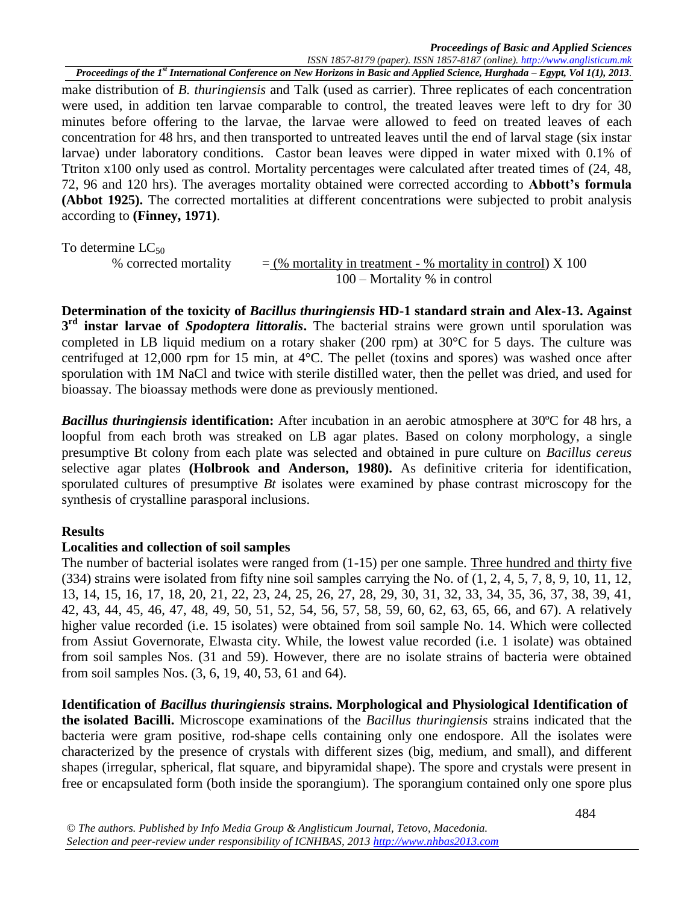*Proceedings of the 1st International Conference on New Horizons in Basic and Applied Science, Hurghada – Egypt, Vol 1(1), 2013.* make distribution of *B. thuringiensis* and Talk (used as carrier). Three replicates of each concentration were used, in addition ten larvae comparable to control, the treated leaves were left to dry for 30 minutes before offering to the larvae, the larvae were allowed to feed on treated leaves of each concentration for 48 hrs, and then transported to untreated leaves until the end of larval stage (six instar larvae) under laboratory conditions. Castor bean leaves were dipped in water mixed with 0.1% of Ttriton x100 only used as control. Mortality percentages were calculated after treated times of (24, 48, 72, 96 and 120 hrs). The averages mortality obtained were corrected according to **Abbott's formula (Abbot 1925).** The corrected mortalities at different concentrations were subjected to probit analysis according to **(Finney, 1971)**.

To determine  $LC_{50}$ 

% corrected mortality  $=$  (% mortality in treatment - % mortality in control) X 100 100 – Mortality % in control

**Determination of the toxicity of** *Bacillus thuringiensis* **HD-1 standard strain and Alex-13. Against 3 rd instar larvae of** *Spodoptera littoralis***.** The bacterial strains were grown until sporulation was completed in LB liquid medium on a rotary shaker (200 rpm) at  $30^{\circ}$ C for 5 days. The culture was centrifuged at 12,000 rpm for 15 min, at 4°C. The pellet (toxins and spores) was washed once after sporulation with 1M NaCl and twice with sterile distilled water, then the pellet was dried, and used for bioassay. The bioassay methods were done as previously mentioned.

*Bacillus thuringiensis* **identification:** After incubation in an aerobic atmosphere at 30ºC for 48 hrs, a loopful from each broth was streaked on LB agar plates. Based on colony morphology, a single presumptive Bt colony from each plate was selected and obtained in pure culture on *Bacillus cereus* selective agar plates **(Holbrook and Anderson, 1980).** As definitive criteria for identification, sporulated cultures of presumptive *Bt* isolates were examined by phase contrast microscopy for the synthesis of crystalline parasporal inclusions.

### **Results**

### **Localities and collection of soil samples**

The number of bacterial isolates were ranged from (1-15) per one sample. Three hundred and thirty five (334) strains were isolated from fifty nine soil samples carrying the No. of (1, 2, 4, 5, 7, 8, 9, 10, 11, 12, 13, 14, 15, 16, 17, 18, 20, 21, 22, 23, 24, 25, 26, 27, 28, 29, 30, 31, 32, 33, 34, 35, 36, 37, 38, 39, 41, 42, 43, 44, 45, 46, 47, 48, 49, 50, 51, 52, 54, 56, 57, 58, 59, 60, 62, 63, 65, 66, and 67). A relatively higher value recorded (i.e. 15 isolates) were obtained from soil sample No. 14. Which were collected from Assiut Governorate, Elwasta city. While, the lowest value recorded (i.e. 1 isolate) was obtained from soil samples Nos. (31 and 59). However, there are no isolate strains of bacteria were obtained from soil samples Nos. (3, 6, 19, 40, 53, 61 and 64).

**Identification of** *Bacillus thuringiensis* **strains. Morphological and Physiological Identification of the isolated Bacilli.** Microscope examinations of the *Bacillus thuringiensis* strains indicated that the bacteria were gram positive, rod-shape cells containing only one endospore. All the isolates were characterized by the presence of crystals with different sizes (big, medium, and small), and different shapes (irregular, spherical, flat square, and bipyramidal shape). The spore and crystals were present in free or encapsulated form (both inside the sporangium). The sporangium contained only one spore plus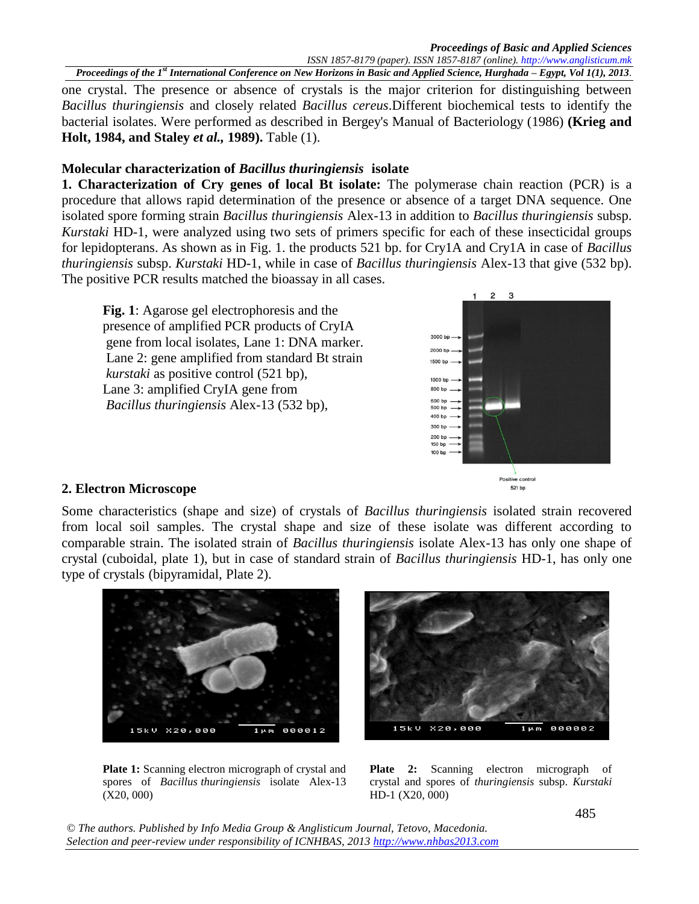*Proceedings of the 1st International Conference on New Horizons in Basic and Applied Science, Hurghada – Egypt, Vol 1(1), 2013.* one crystal. The presence or absence of crystals is the major criterion for distinguishing between *Bacillus thuringiensis* and closely related *Bacillus cereus*.Different biochemical tests to identify the bacterial isolates. Were performed as described in Bergey's Manual of Bacteriology (1986) **(Krieg and Holt, 1984, and Staley** *et al.,* **1989).** Table (1).

### **Molecular characterization of** *Bacillus thuringiensis* **isolate**

**1. Characterization of Cry genes of local Bt isolate:** The polymerase chain reaction (PCR) is a procedure that allows rapid determination of the presence or absence of a target DNA sequence. One isolated spore forming strain *Bacillus thuringiensis* Alex-13 in addition to *Bacillus thuringiensis* subsp. *Kurstaki* HD-1, were analyzed using two sets of primers specific for each of these insecticidal groups for lepidopterans. As shown as in Fig. 1. the products 521 bp. for Cry1A and Cry1A in case of *Bacillus thuringiensis* subsp. *Kurstaki* HD-1, while in case of *Bacillus thuringiensis* Alex-13 that give (532 bp). The positive PCR results matched the bioassay in all cases.

**Fig. 1**: Agarose gel electrophoresis and the presence of amplified PCR products of CryIA gene from local isolates, Lane 1: DNA marker. Lane 2: gene amplified from standard Bt strain *kurstaki* as positive control (521 bp), Lane 3: amplified CryIA gene from *Bacillus thuringiensis* Alex-13 (532 bp),



### **2. Electron Microscope**

Some characteristics (shape and size) of crystals of *Bacillus thuringiensis* isolated strain recovered from local soil samples. The crystal shape and size of these isolate was different according to comparable strain. The isolated strain of *Bacillus thuringiensis* isolate Alex-13 has only one shape of crystal (cuboidal, plate 1), but in case of standard strain of *Bacillus thuringiensis* HD-1, has only one type of crystals (bipyramidal, Plate 2).



Plate 1: Scanning electron micrograph of crystal and spores of *Bacillus thuringiensis* isolate Alex-13 (X20, 000)



Plate 2: Scanning electron micrograph of crystal and spores of *thuringiensis* subsp. *Kurstaki*  HD-1 (X20, 000)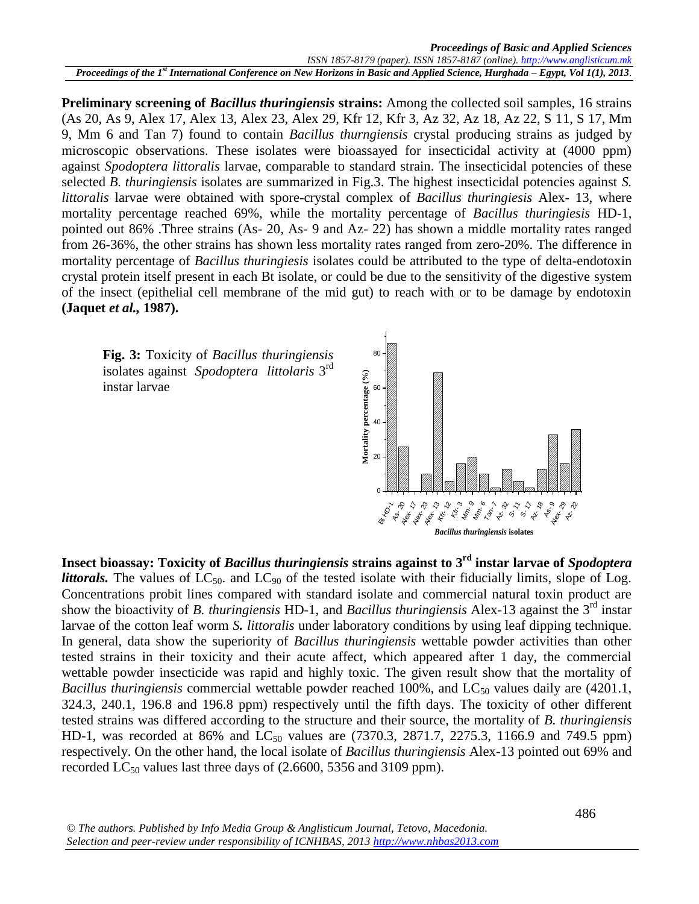**Preliminary screening of** *Bacillus thuringiensis* **strains:** Among the collected soil samples, 16 strains (As 20, As 9, Alex 17, Alex 13, Alex 23, Alex 29, Kfr 12, Kfr 3, Az 32, Az 18, Az 22, S 11, S 17, Mm 9, Mm 6 and Tan 7) found to contain *Bacillus thurngiensis* crystal producing strains as judged by microscopic observations. These isolates were bioassayed for insecticidal activity at (4000 ppm) against *Spodoptera littoralis* larvae, comparable to standard strain. The insecticidal potencies of these selected *B. thuringiensis* isolates are summarized in Fig.3. The highest insecticidal potencies against *S*. *littoralis* larvae were obtained with spore-crystal complex of *Bacillus thuringiesis* Alex- 13, where mortality percentage reached 69%, while the mortality percentage of *Bacillus thuringiesis* HD-1, pointed out 86% .Three strains (As- 20, As- 9 and Az- 22) has shown a middle mortality rates ranged from 26-36%, the other strains has shown less mortality rates ranged from zero-20%. The difference in mortality percentage of *Bacillus thuringiesis* isolates could be attributed to the type of delta-endotoxin crystal protein itself present in each Bt isolate, or could be due to the sensitivity of the digestive system of the insect (epithelial cell membrane of the mid gut) to reach with or to be damage by endotoxin **(Jaquet** *et al.,* **1987).**





**Insect bioassay: Toxicity of** *Bacillus thuringiensis* **strains against to 3rd instar larvae of** *Spodoptera littorals*. The values of  $LC_{50}$  and  $LC_{90}$  of the tested isolate with their fiducially limits, slope of Log. Concentrations probit lines compared with standard isolate and commercial natural toxin product are show the bioactivity of *B. thuringiensis* HD-1, and *Bacillus thuringiensis* Alex-13 against the 3rd instar larvae of the cotton leaf worm *S. littoralis* under laboratory conditions by using leaf dipping technique. In general, data show the superiority of *Bacillus thuringiensis* wettable powder activities than other tested strains in their toxicity and their acute affect, which appeared after 1 day, the commercial wettable powder insecticide was rapid and highly toxic. The given result show that the mortality of *Bacillus thuringiensis* commercial wettable powder reached 100%, and LC<sub>50</sub> values daily are (4201.1, 324.3, 240.1, 196.8 and 196.8 ppm) respectively until the fifth days. The toxicity of other different tested strains was differed according to the structure and their source, the mortality of *B. thuringiensis*  HD-1, was recorded at 86% and  $LC_{50}$  values are (7370.3, 2871.7, 2275.3, 1166.9 and 749.5 ppm) respectively. On the other hand, the local isolate of *Bacillus thuringiensis* Alex-13 pointed out 69% and recorded  $LC_{50}$  values last three days of (2.6600, 5356 and 3109 ppm).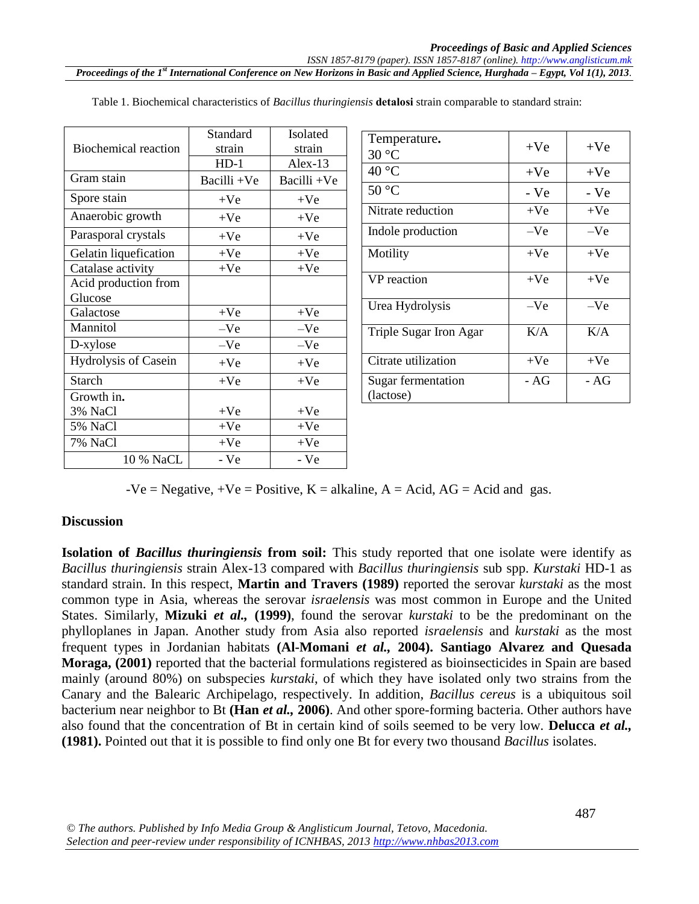|                             | Standard    | Isolated    | Temp              |
|-----------------------------|-------------|-------------|-------------------|
| <b>Biochemical reaction</b> | strain      | strain      | $30^{\circ}$ C    |
|                             | $HD-1$      | $Alex-13$   | $40^{\circ}$ C    |
| Gram stain                  | Bacilli +Ve | Bacilli +Ve | 50 °C             |
| Spore stain                 | $+Ve$       | $+Ve$       |                   |
| Anaerobic growth            | $+Ve$       | $+Ve$       | Nitrat            |
| Parasporal crystals         | $+Ve$       | $+Ve$       | Indol             |
| Gelatin liquefication       | $+Ve$       | $+Ve$       | Motil             |
| Catalase activity           | $+Ve$       | $+Ve$       |                   |
| Acid production from        |             |             | VP re             |
| Glucose                     |             |             | Urea <sup>1</sup> |
| Galactose                   | $+Ve$       | $+Ve$       |                   |
| Mannitol                    | $-Ve$       | $-Ve$       | Triple            |
| D-xylose                    | $-Ve$       | $-Ve$       |                   |
| Hydrolysis of Casein        | $+Ve$       | $+Ve$       | Citrat            |
| <b>Starch</b>               | $+Ve$       | $+Ve$       | Sugar             |
| Growth in.                  |             |             | (lacto            |
| 3% NaCl                     | $+Ve$       | $+Ve$       |                   |
| 5% NaCl                     | $+Ve$       | $+Ve$       |                   |
| 7% NaCl                     | $+Ve$       | $+Ve$       |                   |
| 10 % NaCL                   | - Ve        | - Ve        |                   |

Table 1. Biochemical characteristics of *Bacillus thuringiensis* **detalosi** strain comparable to standard strain:

| Temperature.                    | $+Ve$ | $+Ve$ |
|---------------------------------|-------|-------|
| $30^{\circ}$ C                  |       |       |
| 40 °C                           | $+Ve$ | $+Ve$ |
| $50^{\circ}$ C                  | - Ve  | - Ve  |
| Nitrate reduction               | $+Ve$ | $+Ve$ |
| Indole production               | $-Ve$ | $-Ve$ |
| Motility                        | $+Ve$ | $+Ve$ |
| VP reaction                     | $+Ve$ | $+Ve$ |
| Urea Hydrolysis                 | $-Ve$ | $-Ve$ |
| Triple Sugar Iron Agar          | K/A   | K/A   |
| Citrate utilization             | $+Ve$ | $+Ve$ |
| Sugar fermentation<br>(lactose) | - AG  | - AG  |

 $-Ve = Negative$ ,  $+Ve = Positive$ ,  $K = alkaline$ ,  $A = Acid$ ,  $AG = Acid$  and gas.

#### **Discussion**

**Isolation of** *Bacillus thuringiensis* from soil: This study reported that one isolate were identify as *Bacillus thuringiensis* strain Alex-13 compared with *Bacillus thuringiensis* sub spp. *Kurstaki* HD-1 as standard strain. In this respect, **Martin and Travers (1989)** reported the serovar *kurstaki* as the most common type in Asia, whereas the serovar *israelensis* was most common in Europe and the United States. Similarly, **Mizuki** *et al.,* **(1999)**, found the serovar *kurstaki* to be the predominant on the phylloplanes in Japan. Another study from Asia also reported *israelensis* and *kurstaki* as the most frequent types in Jordanian habitats **(Al-Momani** *et al.,* **2004). Santiago Alvarez and Quesada Moraga, (2001)** reported that the bacterial formulations registered as bioinsecticides in Spain are based mainly (around 80%) on subspecies *kurstaki*, of which they have isolated only two strains from the Canary and the Balearic Archipelago, respectively. In addition, *Bacillus cereus* is a ubiquitous soil bacterium near neighbor to Bt **(Han** *et al.,* **2006)**. And other spore-forming bacteria. Other authors have also found that the concentration of Bt in certain kind of soils seemed to be very low. **Delucca** *et al.,* **(1981).** Pointed out that it is possible to find only one Bt for every two thousand *Bacillus* isolates.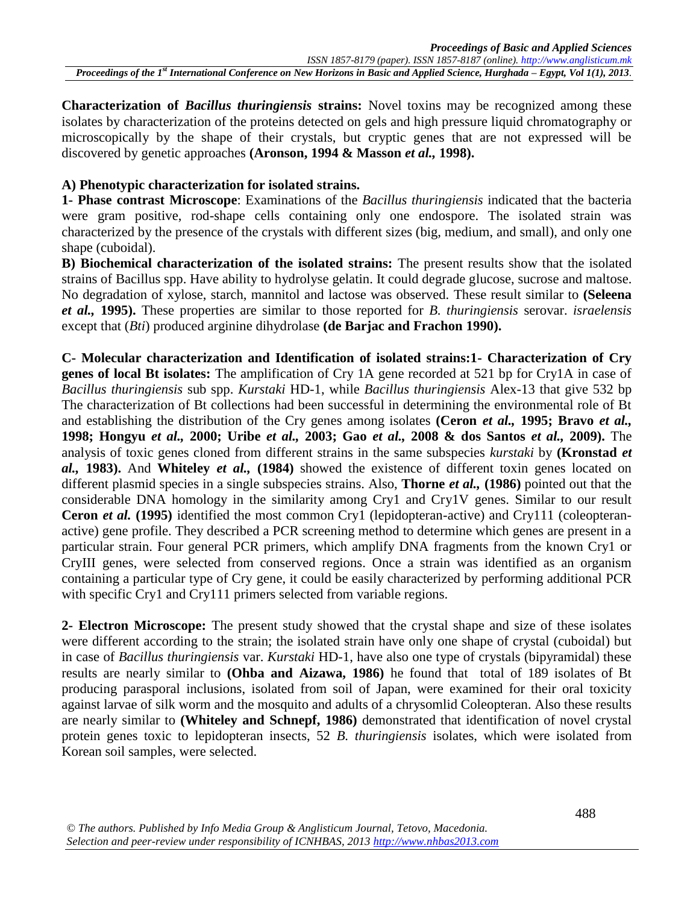**Characterization of** *Bacillus thuringiensis* **strains:** Novel toxins may be recognized among these isolates by characterization of the proteins detected on gels and high pressure liquid chromatography or microscopically by the shape of their crystals, but cryptic genes that are not expressed will be discovered by genetic approaches **(Aronson, 1994 & Masson** *et al.,* **1998).**

### **A) Phenotypic characterization for isolated strains.**

**1- Phase contrast Microscope**: Examinations of the *Bacillus thuringiensis* indicated that the bacteria were gram positive, rod-shape cells containing only one endospore. The isolated strain was characterized by the presence of the crystals with different sizes (big, medium, and small), and only one shape (cuboidal).

**B) Biochemical characterization of the isolated strains:** The present results show that the isolated strains of Bacillus spp. Have ability to hydrolyse gelatin. It could degrade glucose, sucrose and maltose. No degradation of xylose, starch, mannitol and lactose was observed. These result similar to **(Seleena**  *et al.,* **1995).** These properties are similar to those reported for *B. thuringiensis* serovar. *israelensis* except that (*Bti*) produced arginine dihydrolase **(de Barjac and Frachon 1990).**

**C- Molecular characterization and Identification of isolated strains:1- Characterization of Cry genes of local Bt isolates:** The amplification of Cry 1A gene recorded at 521 bp for Cry1A in case of *Bacillus thuringiensis* sub spp. *Kurstaki* HD-1, while *Bacillus thuringiensis* Alex-13 that give 532 bp The characterization of Bt collections had been successful in determining the environmental role of Bt and establishing the distribution of the Cry genes among isolates **(Ceron** *et al.,* **1995; Bravo** *et al.,* **1998; Hongyu** *et al.,* **2000; Uribe** *et al.,* **2003; Gao** *et al.,* **2008 & dos Santos** *et al.,* **2009).** The analysis of toxic genes cloned from different strains in the same subspecies *kurstaki* by **(Kronstad** *et al.,* **1983).** And **Whiteley** *et al.,* **(1984)** showed the existence of different toxin genes located on different plasmid species in a single subspecies strains. Also, **Thorne** *et al.,* **(1986)** pointed out that the considerable DNA homology in the similarity among Cry1 and Cry1V genes. Similar to our result **Ceron** *et al.* **(1995)** identified the most common Cry1 (lepidopteran-active) and Cry111 (coleopteranactive) gene profile. They described a PCR screening method to determine which genes are present in a particular strain. Four general PCR primers, which amplify DNA fragments from the known Cry1 or CryIII genes, were selected from conserved regions. Once a strain was identified as an organism containing a particular type of Cry gene, it could be easily characterized by performing additional PCR with specific Cry1 and Cry111 primers selected from variable regions.

**2- Electron Microscope:** The present study showed that the crystal shape and size of these isolates were different according to the strain; the isolated strain have only one shape of crystal (cuboidal) but in case of *Bacillus thuringiensis* var. *Kurstaki* HD-1, have also one type of crystals (bipyramidal) these results are nearly similar to **(Ohba and Aizawa, 1986)** he found that total of 189 isolates of Bt producing parasporal inclusions, isolated from soil of Japan, were examined for their oral toxicity against larvae of silk worm and the mosquito and adults of a chrysomlid Coleopteran. Also these results are nearly similar to **(Whiteley and Schnepf, 1986)** demonstrated that identification of novel crystal protein genes toxic to lepidopteran insects, 52 *B. thuringiensis* isolates, which were isolated from Korean soil samples, were selected.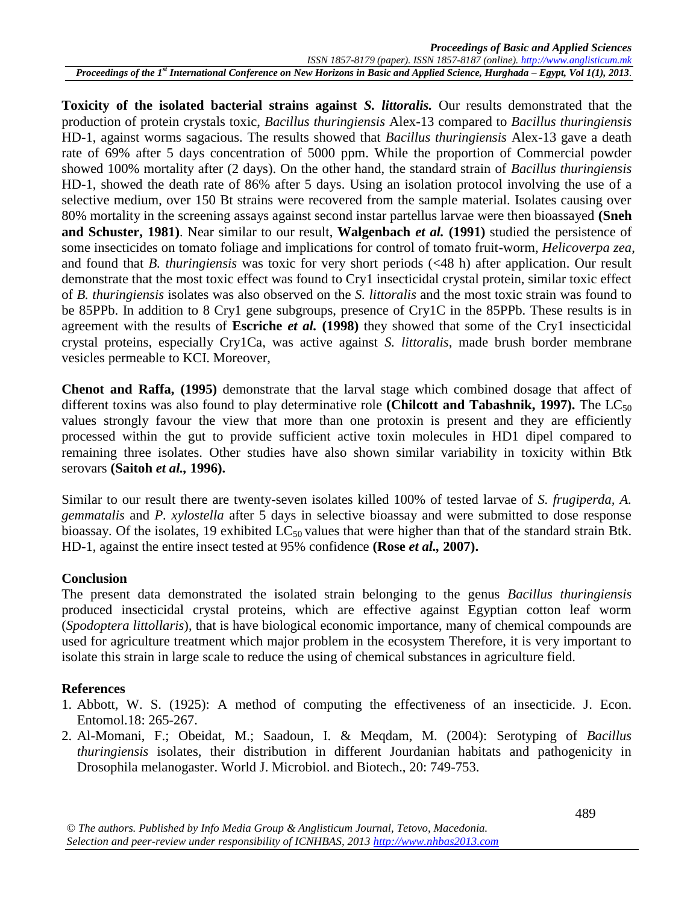**Toxicity of the isolated bacterial strains against** *S. littoralis.* Our results demonstrated that the production of protein crystals toxic, *Bacillus thuringiensis* Alex-13 compared to *Bacillus thuringiensis* HD-1, against worms sagacious. The results showed that *Bacillus thuringiensis* Alex-13 gave a death rate of 69% after 5 days concentration of 5000 ppm. While the proportion of Commercial powder showed 100% mortality after (2 days). On the other hand, the standard strain of *Bacillus thuringiensis* HD-1, showed the death rate of 86% after 5 days. Using an isolation protocol involving the use of a selective medium, over 150 Bt strains were recovered from the sample material. Isolates causing over 80% mortality in the screening assays against second instar partellus larvae were then bioassayed **(Sneh and Schuster, 1981)**. Near similar to our result, **Walgenbach** *et al.* **(1991)** studied the persistence of some insecticides on tomato foliage and implications for control of tomato fruit-worm, *Helicoverpa zea*, and found that *B. thuringiensis* was toxic for very short periods (<48 h) after application. Our result demonstrate that the most toxic effect was found to Cry1 insecticidal crystal protein, similar toxic effect of *B. thuringiensis* isolates was also observed on the *S. littoralis* and the most toxic strain was found to be 85PPb. In addition to 8 Cry1 gene subgroups, presence of Cry1C in the 85PPb. These results is in agreement with the results of **Escriche** *et al.* **(1998)** they showed that some of the Cry1 insecticidal crystal proteins, especially Cry1Ca, was active against *S. littoralis*, made brush border membrane vesicles permeable to KCI. Moreover,

**Chenot and Raffa, (1995)** demonstrate that the larval stage which combined dosage that affect of different toxins was also found to play determinative role (Chilcott and Tabashnik, 1997). The  $LC_{50}$ values strongly favour the view that more than one protoxin is present and they are efficiently processed within the gut to provide sufficient active toxin molecules in HD1 dipel compared to remaining three isolates. Other studies have also shown similar variability in toxicity within Btk serovars **(Saitoh** *et al.,* **1996).**

Similar to our result there are twenty-seven isolates killed 100% of tested larvae of *S. frugiperda, A. gemmatalis* and *P. xylostella* after 5 days in selective bioassay and were submitted to dose response bioassay. Of the isolates, 19 exhibited  $LC_{50}$  values that were higher than that of the standard strain Btk. HD-1, against the entire insect tested at 95% confidence **(Rose** *et al.,* **2007).**

### **Conclusion**

The present data demonstrated the isolated strain belonging to the genus *Bacillus thuringiensis* produced insecticidal crystal proteins, which are effective against Egyptian cotton leaf worm (*Spodoptera littollaris*), that is have biological economic importance, many of chemical compounds are used for agriculture treatment which major problem in the ecosystem Therefore, it is very important to isolate this strain in large scale to reduce the using of chemical substances in agriculture field.

### **References**

- 1. Abbott, W. S. (1925): A method of computing the effectiveness of an insecticide. J. Econ. Entomol.18: 265-267.
- 2. Al-Momani, F.; Obeidat, M.; Saadoun, I. & Meqdam, M. (2004): Serotyping of *Bacillus thuringiensis* isolates, their distribution in different Jourdanian habitats and pathogenicity in Drosophila melanogaster. World J. Microbiol. and Biotech., 20: 749-753.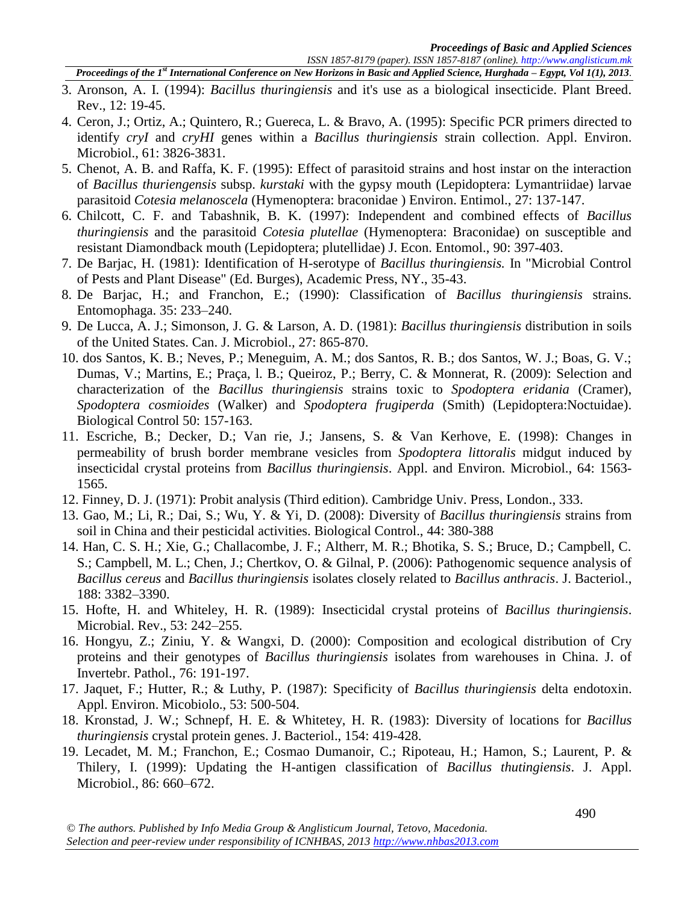*Proceedings of the 1st International Conference on New Horizons in Basic and Applied Science, Hurghada – Egypt, Vol 1(1), 2013.*

- 3. Aronson, A. I. (1994): *Bacillus thuringiensis* and it's use as a biological insecticide. Plant Breed. Rev., 12: 19-45.
- 4. Ceron, J.; Ortiz, A.; Quintero, R.; Guereca, L. & Bravo, A. (1995): Specific PCR primers directed to identify *cryI* and *cryHI* genes within a *Bacillus thuringiensis* strain collection. Appl. Environ. Microbiol., 61: 3826-3831.
- 5. Chenot, A. B. and Raffa, K. F. (1995): Effect of parasitoid strains and host instar on the interaction of *Bacillus thuriengensis* subsp. *kurstaki* with the gypsy mouth (Lepidoptera: Lymantriidae) larvae parasitoid *Cotesia melanoscela* (Hymenoptera: braconidae ) Environ. Entimol., 27: 137-147.
- 6. Chilcott, C. F. and Tabashnik, B. K. (1997): Independent and combined effects of *Bacillus thuringiensis* and the parasitoid *Cotesia plutellae* (Hymenoptera: Braconidae) on susceptible and resistant Diamondback mouth (Lepidoptera; plutellidae) J. Econ. Entomol., 90: 397-403.
- 7. De Barjac, H. (1981): Identification of H-serotype of *Bacillus thuringiensis.* In "Microbial Control of Pests and Plant Disease" (Ed. Burges), Academic Press, NY., 35-43.
- 8. De Barjac, H.; and Franchon, E.; (1990): Classification of *Bacillus thuringiensis* strains. Entomophaga. 35: 233–240.
- 9. De Lucca, A. J.; Simonson, J. G. & Larson, A. D. (1981): *Bacillus thuringiensis* distribution in soils of the United States. Can. J. Microbiol.*,* 27: 865-870.
- 10. dos Santos, K. B.; Neves, P.; Meneguim, A. M.; dos Santos, R. B.; dos Santos, W. J.; Boas, G. V.; Dumas, V.; Martins, E.; Praça, l. B.; Queiroz, P.; Berry, C. & Monnerat, R. (2009): Selection and characterization of the *Bacillus thuringiensis* strains toxic to *Spodoptera eridania* (Cramer), *Spodoptera cosmioides* (Walker) and *Spodoptera frugiperda* (Smith) (Lepidoptera:Noctuidae). Biological Control 50: 157-163.
- 11. Escriche, B.; Decker, D.; Van rie, J.; Jansens, S. & Van Kerhove, E. (1998): Changes in permeability of brush border membrane vesicles from *Spodoptera littoralis* midgut induced by insecticidal crystal proteins from *Bacillus thuringiensis*. Appl. and Environ. Microbiol., 64: 1563- 1565.
- 12. Finney, D. J. (1971): Probit analysis (Third edition). Cambridge Univ. Press, London., 333.
- 13. Gao, M.; Li, R.; Dai, S.; Wu, Y. & Yi, D. (2008): Diversity of *Bacillus thuringiensis* strains from soil in China and their pesticidal activities. Biological Control., 44: 380-388
- 14. Han, C. S. H.; Xie, G.; Challacombe, J. F.; Altherr, M. R.; Bhotika, S. S.; Bruce, D.; Campbell, C. S.; Campbell, M. L.; Chen, J.; Chertkov, O. & Gilnal, P. (2006): Pathogenomic sequence analysis of *Bacillus cereus* and *Bacillus thuringiensis* isolates closely related to *Bacillus anthracis*. J. Bacteriol., 188: 3382–3390.
- 15. Hofte, H. and Whiteley, H. R. (1989): Insecticidal crystal proteins of *Bacillus thuringiensis*. Microbial. Rev., 53: 242–255.
- 16. Hongyu, Z.; Ziniu, Y. & Wangxi, D. (2000): Composition and ecological distribution of Cry proteins and their genotypes of *Bacillus thuringiensis* isolates from warehouses in China. J. of Invertebr. Pathol., 76: 191-197.
- 17. Jaquet, F.; Hutter, R.; & Luthy, P. (1987): Specificity of *Bacillus thuringiensis* delta endotoxin. Appl. Environ. Micobiolo., 53: 500-504.
- 18. Kronstad, J. W.; Schnepf, H. E. & Whitetey, H. R. (1983): Diversity of locations for *Bacillus thuringiensis* crystal protein genes. J. Bacteriol., 154: 419-428.
- 19. Lecadet, M. M.; Franchon, E.; Cosmao Dumanoir, C.; Ripoteau, H.; Hamon, S.; Laurent, P. & Thilery, I. (1999): Updating the H-antigen classification of *Bacillus thutingiensis*. J. Appl. Microbiol., 86: 660–672.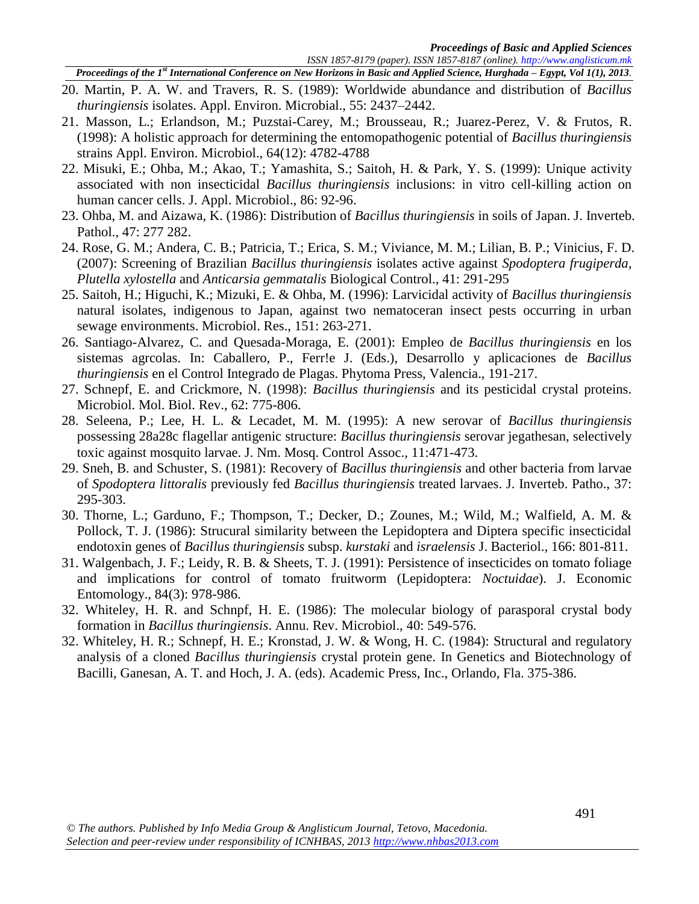*Proceedings of the 1st International Conference on New Horizons in Basic and Applied Science, Hurghada – Egypt, Vol 1(1), 2013.*

- 20. Martin, P. A. W. and Travers, R. S. (1989): Worldwide abundance and distribution of *Bacillus thuringiensis* isolates. Appl. Environ. Microbial., 55: 2437–2442.
- 21. Masson, L.; Erlandson, M.; Puzstai-Carey, M.; Brousseau, R.; Juarez-Perez, V. & Frutos, R. (1998): A holistic approach for determining the entomopathogenic potential of *Bacillus thuringiensis* strains Appl. Environ. Microbiol., 64(12): 4782-4788
- 22. Misuki, E.; Ohba, M.; Akao, T.; Yamashita, S.; Saitoh, H. & Park, Y. S. (1999): Unique activity associated with non insecticidal *Bacillus thuringiensis* inclusions: in vitro cell-killing action on human cancer cells. J. Appl. Microbiol., 86: 92-96.
- 23. Ohba, M. and Aizawa, K. (1986): Distribution of *Bacillus thuringiensis* in soils of Japan. J. Inverteb. Pathol., 47: 277 282.
- 24. Rose, G. M.; Andera, C. B.; Patricia, T.; Erica, S. M.; Viviance, M. M.; Lilian, B. P.; Vinicius, F. D. (2007): Screening of Brazilian *Bacillus thuringiensis* isolates active against *Spodoptera frugiperda, Plutella xylostella* and *Anticarsia gemmatalis* Biological Control., 41: 291-295
- 25. Saitoh, H.; Higuchi, K.; Mizuki, E. & Ohba, M. (1996): Larvicidal activity of *Bacillus thuringiensis* natural isolates, indigenous to Japan, against two nematoceran insect pests occurring in urban sewage environments. Microbiol. Res., 151: 263-271.
- 26. Santiago-Alvarez, C. and Quesada-Moraga, E. (2001): Empleo de *Bacillus thuringiensis* en los sistemas agrcolas. In: Caballero, P., Ferr!e J. (Eds.), Desarrollo y aplicaciones de *Bacillus thuringiensis* en el Control Integrado de Plagas. Phytoma Press, Valencia., 191-217.
- 27. Schnepf, E. and Crickmore, N. (1998): *Bacillus thuringiensis* and its pesticidal crystal proteins. Microbiol. Mol. Biol. Rev., 62: 775-806.
- 28. Seleena, P.; Lee, H. L. & Lecadet, M. M. (1995): A new serovar of *Bacillus thuringiensis* possessing 28a28c flagellar antigenic structure: *Bacillus thuringiensis* serovar jegathesan, selectively toxic against mosquito larvae. J. Nm. Mosq. Control Assoc., 11:471-473.
- 29. Sneh, B. and Schuster, S. (1981): Recovery of *Bacillus thuringiensis* and other bacteria from larvae of *Spodoptera littoralis* previously fed *Bacillus thuringiensis* treated larvaes. J. Inverteb. Patho., 37: 295-303.
- 30. Thorne, L.; Garduno, F.; Thompson, T.; Decker, D.; Zounes, M.; Wild, M.; Walfield, A. M. & Pollock, T. J. (1986): Strucural similarity between the Lepidoptera and Diptera specific insecticidal endotoxin genes of *Bacillus thuringiensis* subsp. *kurstaki* and *israelensis* J. Bacteriol., 166: 801-811.
- 31. Walgenbach, J. F.; Leidy, R. B. & Sheets, T. J. (1991): Persistence of insecticides on tomato foliage and implications for control of tomato fruitworm (Lepidoptera: *Noctuidae*). J. Economic Entomology., 84(3): 978-986.
- 32. Whiteley, H. R. and Schnpf, H. E. (1986): The molecular biology of parasporal crystal body formation in *Bacillus thuringiensis*. Annu. Rev. Microbiol., 40: 549-576.
- 32. Whiteley, H. R.; Schnepf, H. E.; Kronstad, J. W. & Wong, H. C. (1984): Structural and regulatory analysis of a cloned *Bacillus thuringiensis* crystal protein gene. In Genetics and Biotechnology of Bacilli, Ganesan, A. T. and Hoch, J. A. (eds). Academic Press, Inc., Orlando, Fla. 375-386.